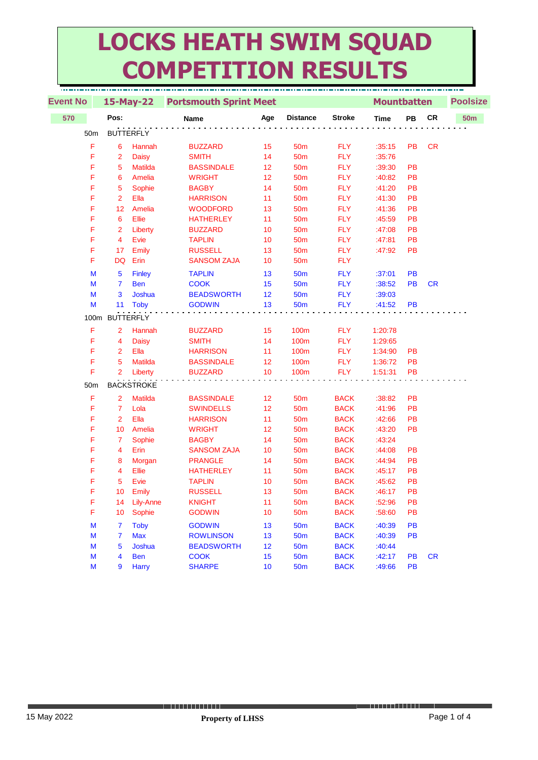## **LOCKS HEATH SWIM SQUAD COMPETITION RESULTS**

| <b>Event No</b> | 15-May-22               |                   | <b>Portsmouth Sprint Meet</b> |     |                 |               | <b>Mountbatten</b> |           |            | <b>Poolsize</b> |  |
|-----------------|-------------------------|-------------------|-------------------------------|-----|-----------------|---------------|--------------------|-----------|------------|-----------------|--|
| 570             | Pos:                    |                   | <b>Name</b>                   | Age | <b>Distance</b> | <b>Stroke</b> | <b>Time</b>        | PB        | ${\sf CR}$ | 50 <sub>m</sub> |  |
| 50 <sub>m</sub> |                         | <b>BUTTERFLY</b>  |                               |     |                 |               |                    |           |            |                 |  |
| F               | 6                       | Hannah            | <b>BUZZARD</b>                | 15  | 50 <sub>m</sub> | <b>FLY</b>    | :35:15             | <b>PB</b> | CR         |                 |  |
| F               | $\overline{2}$          | <b>Daisy</b>      | <b>SMITH</b>                  | 14  | 50 <sub>m</sub> | <b>FLY</b>    | :35:76             |           |            |                 |  |
| F               | 5                       | Matilda           | <b>BASSINDALE</b>             | 12  | 50 <sub>m</sub> | <b>FLY</b>    | :39:30             | PB        |            |                 |  |
| F               | 6                       | Amelia            | <b>WRIGHT</b>                 | 12  | 50 <sub>m</sub> | <b>FLY</b>    | :40:82             | PB        |            |                 |  |
| F               | 5                       | Sophie            | <b>BAGBY</b>                  | 14  | 50 <sub>m</sub> | <b>FLY</b>    | :41:20             | PB        |            |                 |  |
| F               | $\overline{2}$          | Ella              | <b>HARRISON</b>               | 11  | 50 <sub>m</sub> | <b>FLY</b>    | :41:30             | PB        |            |                 |  |
| F               | 12                      | Amelia            | <b>WOODFORD</b>               | 13  | 50 <sub>m</sub> | <b>FLY</b>    | :41:36             | PB        |            |                 |  |
| F               | 6                       | Ellie             | <b>HATHERLEY</b>              | 11  | 50 <sub>m</sub> | <b>FLY</b>    | :45:59             | PB        |            |                 |  |
| F               | $\overline{2}$          | Liberty           | <b>BUZZARD</b>                | 10  | 50 <sub>m</sub> | <b>FLY</b>    | :47:08             | PB        |            |                 |  |
| F               | $\overline{4}$          | Evie              | <b>TAPLIN</b>                 | 10  | 50 <sub>m</sub> | <b>FLY</b>    | :47:81             | PB        |            |                 |  |
| F               | 17                      | Emily             | <b>RUSSELL</b>                | 13  | 50 <sub>m</sub> | <b>FLY</b>    | :47:92             | PB        |            |                 |  |
| F               | <b>DQ</b>               | Erin              | <b>SANSOM ZAJA</b>            | 10  | <b>50m</b>      | <b>FLY</b>    |                    |           |            |                 |  |
| M               | 5                       | Finley            | <b>TAPLIN</b>                 | 13  | 50 <sub>m</sub> | <b>FLY</b>    | :37:01             | PB        |            |                 |  |
| M               | $\overline{7}$          | <b>Ben</b>        | <b>COOK</b>                   | 15  | 50 <sub>m</sub> | <b>FLY</b>    | :38:52             | PB        | <b>CR</b>  |                 |  |
| M               | 3                       | Joshua            | <b>BEADSWORTH</b>             | 12  | 50 <sub>m</sub> | <b>FLY</b>    | :39:03             |           |            |                 |  |
| M               | 11                      | <b>Toby</b>       | <b>GODWIN</b>                 | 13  | <b>50m</b>      | <b>FLY</b>    | :41:52             | PB        |            |                 |  |
|                 | 100m BUTTERFLY          |                   |                               |     |                 |               |                    |           |            |                 |  |
|                 |                         |                   |                               |     |                 |               |                    |           |            |                 |  |
| F               | $\overline{2}$          | Hannah            | <b>BUZZARD</b>                | 15  | <b>100m</b>     | <b>FLY</b>    | 1:20:78            |           |            |                 |  |
| F               | $\overline{4}$          | <b>Daisy</b>      | <b>SMITH</b>                  | 14  | <b>100m</b>     | <b>FLY</b>    | 1:29:65            |           |            |                 |  |
| F               | $\overline{2}$          | Ella              | <b>HARRISON</b>               | 11  | 100m            | <b>FLY</b>    | 1:34:90            | PB        |            |                 |  |
| F               | 5                       | <b>Matilda</b>    | <b>BASSINDALE</b>             | 12  | <b>100m</b>     | <b>FLY</b>    | 1:36:72            | PB        |            |                 |  |
| F               | $\overline{2}$          | Liberty           | <b>BUZZARD</b>                | 10  | <b>100m</b>     | <b>FLY</b>    | 1:51:31            | PB        |            |                 |  |
| 50m             |                         | <b>BACKSTROKE</b> |                               |     |                 |               |                    |           |            |                 |  |
| F               | $\overline{2}$          | <b>Matilda</b>    | <b>BASSINDALE</b>             | 12  | 50 <sub>m</sub> | <b>BACK</b>   | :38:82             | PB        |            |                 |  |
| F               | $\overline{7}$          | Lola              | <b>SWINDELLS</b>              | 12  | 50 <sub>m</sub> | <b>BACK</b>   | :41:96             | PB        |            |                 |  |
| F               | $\overline{2}$          | Ella              | <b>HARRISON</b>               | 11  | 50 <sub>m</sub> | <b>BACK</b>   | :42:66             | PB        |            |                 |  |
| F               | 10                      | Amelia            | <b>WRIGHT</b>                 | 12  | 50 <sub>m</sub> | <b>BACK</b>   | :43:20             | PB        |            |                 |  |
| F               | $\overline{7}$          | Sophie            | <b>BAGBY</b>                  | 14  | 50 <sub>m</sub> | <b>BACK</b>   | :43:24             |           |            |                 |  |
| F               | 4                       | Erin              | <b>SANSOM ZAJA</b>            | 10  | 50 <sub>m</sub> | <b>BACK</b>   | :44:08             | PB        |            |                 |  |
| F               | 8                       | Morgan            | <b>PRANGLE</b>                | 14  | <b>50m</b>      | <b>BACK</b>   | :44:94             | PB        |            |                 |  |
| F               | 4                       | Ellie             | <b>HATHERLEY</b>              | 11  | 50 <sub>m</sub> | <b>BACK</b>   | :45:17             | PB        |            |                 |  |
| F               | 5                       | Evie              | <b>TAPLIN</b>                 | 10  | 50 <sub>m</sub> | <b>BACK</b>   | :45:62             | PB        |            |                 |  |
| F               |                         | 10 Emily          | <b>RUSSELL</b>                | 13  | 50 <sub>m</sub> | <b>BACK</b>   | :46:17             | <b>PB</b> |            |                 |  |
| F               | 14                      | <b>Lily-Anne</b>  | <b>KNIGHT</b>                 | 11  | 50 <sub>m</sub> | <b>BACK</b>   | :52:96             | PB        |            |                 |  |
| F               | 10 <sup>°</sup>         | Sophie            | <b>GODWIN</b>                 | 10  | <b>50m</b>      | <b>BACK</b>   | :58:60             | PB        |            |                 |  |
| M               | $\mathbf{7}$            | <b>Toby</b>       | <b>GODWIN</b>                 | 13  | 50 <sub>m</sub> | <b>BACK</b>   | :40:39             | PB        |            |                 |  |
| M               | $\overline{7}$          | <b>Max</b>        | <b>ROWLINSON</b>              | 13  | 50 <sub>m</sub> | <b>BACK</b>   | :40:39             | PB        |            |                 |  |
| M               | 5                       | Joshua            | <b>BEADSWORTH</b>             | 12  | <b>50m</b>      | <b>BACK</b>   | :40:44             |           |            |                 |  |
| M               | $\overline{\mathbf{4}}$ | <b>Ben</b>        | <b>COOK</b>                   | 15  | <b>50m</b>      | <b>BACK</b>   | :42:17             | <b>PB</b> | <b>CR</b>  |                 |  |
| M               | 9                       | Harry             | <b>SHARPE</b>                 | 10  | <b>50m</b>      | <b>BACK</b>   | :49:66             | <b>PB</b> |            |                 |  |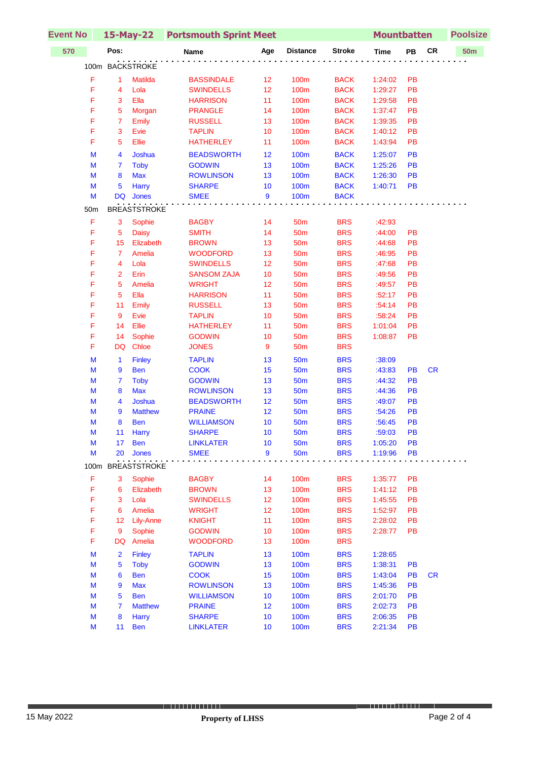| <b>Event No</b> |                 |                     | 15-May-22 Portsmouth Sprint Meet |                |                  |               | <b>Mountbatten</b> |           |           | <b>Poolsize</b> |  |
|-----------------|-----------------|---------------------|----------------------------------|----------------|------------------|---------------|--------------------|-----------|-----------|-----------------|--|
| 570             | Pos:            |                     | Name                             | Age            | <b>Distance</b>  | <b>Stroke</b> | <b>Time</b>        | PB        | <b>CR</b> | <b>50m</b>      |  |
|                 | 100m BACKSTROKE |                     |                                  |                |                  |               |                    |           |           |                 |  |
| F               | $\mathbf{1}$    | <b>Matilda</b>      | <b>BASSINDALE</b>                | 12             | 100m             | <b>BACK</b>   | 1:24:02            | PB        |           |                 |  |
| F               | 4               | Lola                | <b>SWINDELLS</b>                 | 12             | <b>100m</b>      | <b>BACK</b>   | 1:29:27            | PB        |           |                 |  |
| F               | 3               | Ella                | <b>HARRISON</b>                  | 11             | 100m             | <b>BACK</b>   | 1:29:58            | PB        |           |                 |  |
| F               | 5               | Morgan              | <b>PRANGLE</b>                   | 14             | 100m             | <b>BACK</b>   | 1:37:47            | PB        |           |                 |  |
| F               | $\overline{7}$  | <b>Emily</b>        | <b>RUSSELL</b>                   | 13             | 100m             | <b>BACK</b>   | 1:39:35            | PB        |           |                 |  |
| F               | 3               | Evie                | <b>TAPLIN</b>                    | 10             | 100m             | <b>BACK</b>   | 1:40:12            | PB        |           |                 |  |
| F               | 5               | Ellie               | <b>HATHERLEY</b>                 | 11             | 100m             | <b>BACK</b>   | 1:43:94            | PB        |           |                 |  |
| M               | 4               | Joshua              | <b>BEADSWORTH</b>                | 12             | 100 <sub>m</sub> | <b>BACK</b>   | 1:25:07            | <b>PB</b> |           |                 |  |
| M               | 7               | <b>Toby</b>         | <b>GODWIN</b>                    | 13             | 100m             | <b>BACK</b>   | 1:25:26            | PB        |           |                 |  |
| M               | 8               | <b>Max</b>          | <b>ROWLINSON</b>                 | 13             | <b>100m</b>      | <b>BACK</b>   | 1:26:30            | PB        |           |                 |  |
| M               | 5               | Harry               | <b>SHARPE</b>                    | 10             | <b>100m</b>      | <b>BACK</b>   | 1:40:71            | <b>PB</b> |           |                 |  |
| M               | DQ              | Jones               | <b>SMEE</b>                      | 9              | 100m             | <b>BACK</b>   |                    |           |           |                 |  |
| 50m             |                 | <b>BREASTSTROKE</b> |                                  |                |                  |               |                    |           |           |                 |  |
| F               | 3               | Sophie              | <b>BAGBY</b>                     | 14             | 50 <sub>m</sub>  | <b>BRS</b>    | :42:93             |           |           |                 |  |
| F               | 5               | <b>Daisy</b>        | <b>SMITH</b>                     | 14             | 50 <sub>m</sub>  | <b>BRS</b>    | :44:00             | PB        |           |                 |  |
| F               | 15              | Elizabeth           | <b>BROWN</b>                     | 13             | <b>50m</b>       | <b>BRS</b>    | :44:68             | PB        |           |                 |  |
| F               | $\overline{7}$  | Amelia              | <b>WOODFORD</b>                  | 13             | <b>50m</b>       | <b>BRS</b>    | :46:95             | PB        |           |                 |  |
| F               | 4               | Lola                | <b>SWINDELLS</b>                 | 12             | <b>50m</b>       | <b>BRS</b>    | :47:68             | PB        |           |                 |  |
| F               | $\overline{2}$  | Erin                | <b>SANSOM ZAJA</b>               | 10             | <b>50m</b>       | <b>BRS</b>    | :49:56             | PB        |           |                 |  |
| F               | 5               | Amelia              | <b>WRIGHT</b>                    | 12             | 50 <sub>m</sub>  | <b>BRS</b>    | :49:57             | PB        |           |                 |  |
| F               | 5               | Ella                | <b>HARRISON</b>                  | 11             | 50 <sub>m</sub>  | <b>BRS</b>    | :52:17             | PB        |           |                 |  |
| F               | 11              | Emily               | <b>RUSSELL</b>                   | 13             | <b>50m</b>       | <b>BRS</b>    | :54:14             | PB        |           |                 |  |
| F               | 9               | Evie                | <b>TAPLIN</b>                    | 10             | 50 <sub>m</sub>  | <b>BRS</b>    | :58:24             | PB        |           |                 |  |
| F               | 14              | Ellie               | <b>HATHERLEY</b>                 | 11             | <b>50m</b>       | <b>BRS</b>    | 1:01:04            | PB        |           |                 |  |
| F               | 14              | Sophie              | <b>GODWIN</b>                    | 10             | <b>50m</b>       | <b>BRS</b>    | 1:08:87            | PB        |           |                 |  |
| F               | DQ              | Chloe               | <b>JONES</b>                     | 9              | 50 <sub>m</sub>  | <b>BRS</b>    |                    |           |           |                 |  |
| M               | $\mathbf{1}$    | <b>Finley</b>       | <b>TAPLIN</b>                    | 13             | <b>50m</b>       | <b>BRS</b>    | :38:09             |           |           |                 |  |
| M               | 9               | <b>Ben</b>          | <b>COOK</b>                      | 15             | 50 <sub>m</sub>  | <b>BRS</b>    | :43:83             | <b>PB</b> | <b>CR</b> |                 |  |
| M               | 7               | <b>Toby</b>         | <b>GODWIN</b>                    | 13             | <b>50m</b>       | <b>BRS</b>    | :44:32             | <b>PB</b> |           |                 |  |
| M               | 8               | <b>Max</b>          | <b>ROWLINSON</b>                 | 13             | 50 <sub>m</sub>  | <b>BRS</b>    | :44:36             | PB        |           |                 |  |
| M               | 4               | Joshua              | <b>BEADSWORTH</b>                | 12             | 50 <sub>m</sub>  | <b>BRS</b>    | :49:07             | PB        |           |                 |  |
| M               | 9               | <b>Matthew</b>      | <b>PRAINE</b>                    | 12             | <b>50m</b>       | <b>BRS</b>    | :54:26             | PB        |           |                 |  |
| M               | 8               | <b>Ben</b>          | <b>WILLIAMSON</b>                | 10             | <b>50m</b>       | <b>BRS</b>    | :56:45             | PB        |           |                 |  |
| M               | 11 <sub>1</sub> | <b>Harry</b>        | <b>SHARPE</b>                    | 10             | <b>50m</b>       | <b>BRS</b>    | :59:03             | PB        |           |                 |  |
| M               | 17 <sup>2</sup> | <b>Ben</b>          | <b>LINKLATER</b>                 | 10             | 50 <sub>m</sub>  | <b>BRS</b>    | 1:05:20            | <b>PB</b> |           |                 |  |
| M               | 20              | Jones               | <b>SMEE</b>                      | $\overline{9}$ | <b>50m</b>       | <b>BRS</b>    | 1:19:96            | PB        |           |                 |  |
|                 |                 | 100m BREASTSTROKE   |                                  |                |                  |               |                    |           |           |                 |  |
| $\mathsf F$     | 3               | Sophie              | <b>BAGBY</b>                     | 14             | 100m             | <b>BRS</b>    | 1:35:77            | <b>PB</b> |           |                 |  |
| F               | 6               | Elizabeth           | <b>BROWN</b>                     | 13             | <b>100m</b>      | <b>BRS</b>    | 1:41:12            | PB        |           |                 |  |
| F               | 3               | Lola                | <b>SWINDELLS</b>                 | 12             | 100m             | <b>BRS</b>    | 1:45:55            | PB        |           |                 |  |
| F               | 6               | Amelia              | <b>WRIGHT</b>                    | 12             | 100m             | <b>BRS</b>    | 1:52:97            | PB        |           |                 |  |
| F               | 12              | <b>Lily-Anne</b>    | <b>KNIGHT</b>                    | 11             | 100m             | <b>BRS</b>    | 2:28:02            | PB        |           |                 |  |
| F               | 9               | Sophie              | <b>GODWIN</b>                    | 10             | 100m             | <b>BRS</b>    | 2:28:77            | PB        |           |                 |  |
| F               | DQ              | Amelia              | <b>WOODFORD</b>                  | 13             | 100m             | <b>BRS</b>    |                    |           |           |                 |  |
| M               | 2               | <b>Finley</b>       | <b>TAPLIN</b>                    | 13             | <b>100m</b>      | <b>BRS</b>    | 1:28:65            |           |           |                 |  |
| M               | 5               | <b>Toby</b>         | <b>GODWIN</b>                    | 13             | 100m             | <b>BRS</b>    | 1:38:31            | PB        |           |                 |  |
| M               | 6               | <b>Ben</b>          | <b>COOK</b>                      | 15             | <b>100m</b>      | <b>BRS</b>    | 1:43:04            | PB        | <b>CR</b> |                 |  |
| M               | 9               | <b>Max</b>          | <b>ROWLINSON</b>                 | 13             | <b>100m</b>      | <b>BRS</b>    | 1:45:36            | PB        |           |                 |  |
| M               | 5               | <b>Ben</b>          | <b>WILLIAMSON</b>                | 10             | 100m             | <b>BRS</b>    | 2:01:70            | PB        |           |                 |  |
| M               | 7               | <b>Matthew</b>      | <b>PRAINE</b>                    | 12             | <b>100m</b>      | <b>BRS</b>    | 2:02:73            | <b>PB</b> |           |                 |  |
| M               | 8               | <b>Harry</b>        | <b>SHARPE</b>                    | 10             | <b>100m</b>      | <b>BRS</b>    | 2:06:35            | <b>PB</b> |           |                 |  |
| M               | 11              | <b>Ben</b>          | <b>LINKLATER</b>                 | 10             | <b>100m</b>      | <b>BRS</b>    | 2:21:34            | PB        |           |                 |  |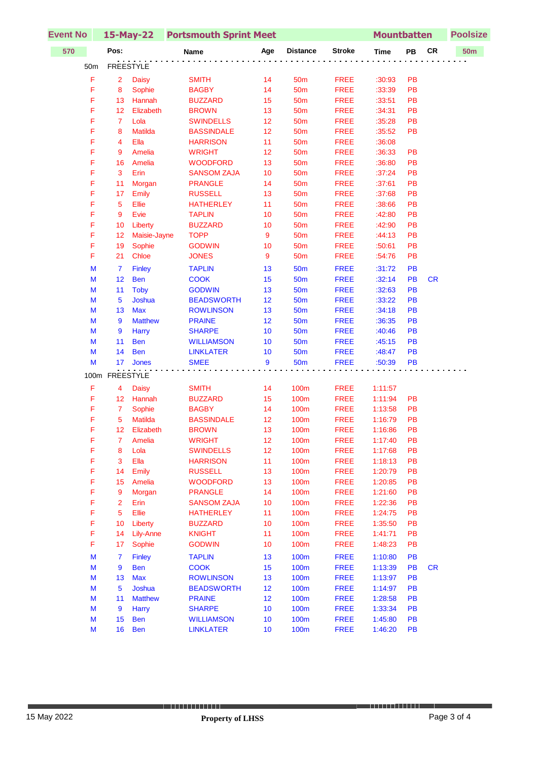| <b>Event No</b> | 15-May-22 Portsmouth Sprint Meet |                          |                                 |          |                     | <b>Mountbatten</b>                                    |                    | <b>Poolsize</b> |            |            |
|-----------------|----------------------------------|--------------------------|---------------------------------|----------|---------------------|-------------------------------------------------------|--------------------|-----------------|------------|------------|
| 570             | Pos:                             |                          | <b>Name</b>                     | Age      | <b>Distance</b>     | <b>Stroke</b>                                         | <b>Time</b>        | PB              | ${\sf CR}$ | <b>50m</b> |
| 50m             |                                  | <b>FREESTYLE</b>         |                                 |          |                     | $\alpha$ , and $\alpha$ , and $\alpha$ , and $\alpha$ |                    |                 |            |            |
| F               | $\overline{2}$                   | <b>Daisy</b>             | <b>SMITH</b>                    | 14       | 50 <sub>m</sub>     | <b>FREE</b>                                           | :30:93             | PB              |            |            |
| F               | 8                                | Sophie                   | <b>BAGBY</b>                    | 14       | <b>50m</b>          | <b>FREE</b>                                           | :33:39             | PB              |            |            |
| F               | 13                               | Hannah                   | <b>BUZZARD</b>                  | 15       | 50 <sub>m</sub>     | <b>FREE</b>                                           | :33:51             | PB              |            |            |
| F               | 12                               | Elizabeth                | <b>BROWN</b>                    | 13       | <b>50m</b>          | <b>FREE</b>                                           | :34:31             | PB              |            |            |
| F               | $\overline{7}$                   | Lola                     | <b>SWINDELLS</b>                | 12       | <b>50m</b>          | <b>FREE</b>                                           | :35:28             | PB              |            |            |
| F               | 8                                | <b>Matilda</b>           | <b>BASSINDALE</b>               | 12       | <b>50m</b>          | <b>FREE</b>                                           | :35:52             | PB              |            |            |
| F               | 4                                | Ella                     | <b>HARRISON</b>                 | 11       | 50 <sub>m</sub>     | <b>FREE</b>                                           | :36:08             |                 |            |            |
| F               | 9                                | Amelia                   | <b>WRIGHT</b>                   | 12       | 50 <sub>m</sub>     | <b>FREE</b>                                           | :36:33             | PB              |            |            |
| F               | 16                               | Amelia                   | <b>WOODFORD</b>                 | 13       | 50 <sub>m</sub>     | <b>FREE</b>                                           | :36:80             | PB              |            |            |
| F               | 3                                | Erin                     | <b>SANSOM ZAJA</b>              | 10       | 50 <sub>m</sub>     | <b>FREE</b>                                           | :37:24             | PB              |            |            |
| F               | 11                               | Morgan                   | <b>PRANGLE</b>                  | 14       | <b>50m</b>          | <b>FREE</b>                                           | :37:61             | PB              |            |            |
| F               | 17                               | Emily                    | <b>RUSSELL</b>                  | 13       | 50 <sub>m</sub>     | <b>FREE</b>                                           | :37:68             | PB              |            |            |
| F               | $\overline{5}$                   | Ellie                    | <b>HATHERLEY</b>                | 11       | <b>50m</b>          | <b>FREE</b>                                           | :38:66             | PB              |            |            |
| F               | 9                                | Evie                     | <b>TAPLIN</b>                   | 10       | 50 <sub>m</sub>     | <b>FREE</b>                                           | :42:80             | PB              |            |            |
| F               | 10                               | Liberty                  | <b>BUZZARD</b>                  | 10       | 50 <sub>m</sub>     | <b>FREE</b>                                           | :42:90             | PB              |            |            |
| F               | 12                               | Maisie-Jayne             | <b>TOPP</b>                     | 9        | <b>50m</b>          | <b>FREE</b>                                           | :44:13             | PB              |            |            |
| F               | 19                               | Sophie                   | <b>GODWIN</b>                   | 10       | 50 <sub>m</sub>     | <b>FREE</b>                                           | :50:61             | PB              |            |            |
| F               | 21                               | Chloe                    | <b>JONES</b>                    | 9        | 50 <sub>m</sub>     | <b>FREE</b>                                           | :54:76             | PB              |            |            |
| M               | $\overline{7}$                   | <b>Finley</b>            | <b>TAPLIN</b>                   | 13       | 50 <sub>m</sub>     | <b>FREE</b>                                           | :31:72             | PB              |            |            |
| M               | 12                               | <b>Ben</b>               | <b>COOK</b>                     | 15       | 50 <sub>m</sub>     | <b>FREE</b>                                           | :32:14             | PB              | <b>CR</b>  |            |
| M               | 11                               | <b>Toby</b>              | <b>GODWIN</b>                   | 13       | <b>50m</b>          | <b>FREE</b>                                           | :32:63             | PB              |            |            |
| M               | 5                                | Joshua                   | <b>BEADSWORTH</b>               | 12       | <b>50m</b>          | <b>FREE</b>                                           | :33:22             | PB              |            |            |
| M               | 13                               | <b>Max</b>               | <b>ROWLINSON</b>                | 13       | 50 <sub>m</sub>     | <b>FREE</b>                                           | :34:18             | PB              |            |            |
| $\mathsf{M}$    | 9                                | <b>Matthew</b>           | <b>PRAINE</b>                   | 12       | 50 <sub>m</sub>     | <b>FREE</b>                                           | :36:35             | PB              |            |            |
| M               | 9                                | Harry                    | <b>SHARPE</b>                   | 10       | 50 <sub>m</sub>     | <b>FREE</b>                                           | :40:46             | PB              |            |            |
| M               | 11                               | <b>Ben</b>               | <b>WILLIAMSON</b>               | 10       | <b>50m</b>          | <b>FREE</b>                                           | :45:15             | PB              |            |            |
| M               | 14                               | <b>Ben</b>               | <b>LINKLATER</b>                | 10       | <b>50m</b>          | <b>FREE</b>                                           | :48:47             | PB              |            |            |
| M               | 17 <sup>2</sup>                  | <b>Jones</b>             | <b>SMEE</b>                     | 9        | <b>50m</b>          | <b>FREE</b>                                           | :50:39             | PB              |            |            |
| 100m            |                                  | FREESTYLE                |                                 |          |                     |                                                       |                    |                 |            |            |
| F               | 4                                | <b>Daisy</b>             | <b>SMITH</b>                    | 14       | 100m                | <b>FREE</b>                                           | 1:11:57            |                 |            |            |
| F               | 12                               | Hannah                   | <b>BUZZARD</b>                  | 15       | 100m                | <b>FREE</b>                                           | 1:11:94            | PB              |            |            |
| F               | $\overline{7}$                   | Sophie                   | <b>BAGBY</b>                    | 14       | 100m                | <b>FREE</b>                                           | 1:13:58            | PB              |            |            |
| F               | 5                                | Matilda                  | <b>BASSINDALE</b>               | 12       | 100m                | <b>FREE</b>                                           | 1:16:79            | PB              |            |            |
| F               | 12                               | Elizabeth                | <b>BROWN</b>                    | 13       | 100m                | <b>FREE</b>                                           | 1:16:86            | PB              |            |            |
| F               | 7                                | Amelia                   | <b>WRIGHT</b>                   | 12       | 100m                | <b>FREE</b>                                           | 1:17:40            | PB              |            |            |
| F               | 8                                | Lola                     | <b>SWINDELLS</b>                | 12       | 100m                | <b>FREE</b>                                           | 1:17:68            | PB              |            |            |
| F               | 3                                | Ella                     | <b>HARRISON</b>                 | 11       | 100m                | <b>FREE</b>                                           | 1:18:13            | PB              |            |            |
| F               | 14                               | Emily                    | <b>RUSSELL</b>                  | 13       | <b>100m</b>         | <b>FREE</b>                                           | 1:20:79            | PB              |            |            |
| F               | 15                               | Amelia                   | <b>WOODFORD</b>                 | 13       | <b>100m</b>         | <b>FREE</b>                                           | 1:20:85            | PB              |            |            |
| F               | 9                                | Morgan                   | <b>PRANGLE</b>                  | 14       | 100m                | <b>FREE</b>                                           | 1:21:60            | PB              |            |            |
| F               | $\overline{2}$                   | Erin                     | <b>SANSOM ZAJA</b>              | 10       | 100m                | <b>FREE</b>                                           | 1:22:36            | PB              |            |            |
| F               | 5                                | Ellie                    | <b>HATHERLEY</b>                | 11       | 100m                | <b>FREE</b>                                           | 1:24:75            | PB              |            |            |
| F               | 10                               | Liberty                  | <b>BUZZARD</b>                  | 10       | 100m                | <b>FREE</b>                                           | 1:35:50            | PB              |            |            |
| F               | 14                               | Lily-Anne                | <b>KNIGHT</b>                   | 11       | <b>100m</b>         | <b>FREE</b>                                           | 1:41:71            | PB              |            |            |
| F               | 17                               | Sophie                   | <b>GODWIN</b>                   | 10       | 100m                | <b>FREE</b>                                           | 1:48:23            | PB              |            |            |
| M               | $\overline{7}$                   | <b>Finley</b>            | <b>TAPLIN</b>                   | 13       | 100m                | <b>FREE</b>                                           | 1:10:80            | PB              |            |            |
| M<br>M          | 9<br>13                          | <b>Ben</b><br><b>Max</b> | <b>COOK</b><br><b>ROWLINSON</b> | 15<br>13 | <b>100m</b><br>100m | <b>FREE</b><br><b>FREE</b>                            | 1:13:39<br>1:13:97 | PB<br>PB        | <b>CR</b>  |            |
| M               | 5                                | Joshua                   | <b>BEADSWORTH</b>               | 12       | 100m                | <b>FREE</b>                                           | 1:14:97            | PB              |            |            |
| M               | 11                               | <b>Matthew</b>           | <b>PRAINE</b>                   | 12       | <b>100m</b>         | <b>FREE</b>                                           | 1:28:58            | PB              |            |            |
| M               | 9                                | Harry                    | <b>SHARPE</b>                   | 10       | <b>100m</b>         | <b>FREE</b>                                           | 1:33:34            | PB              |            |            |
| M               | 15                               | <b>Ben</b>               | <b>WILLIAMSON</b>               | 10       | 100m                | <b>FREE</b>                                           | 1:45:80            | PB              |            |            |
| ${\sf M}$       | 16                               | <b>Ben</b>               | <b>LINKLATER</b>                | 10       | <b>100m</b>         | <b>FREE</b>                                           | 1:46:20            | PB              |            |            |
|                 |                                  |                          |                                 |          |                     |                                                       |                    |                 |            |            |

J